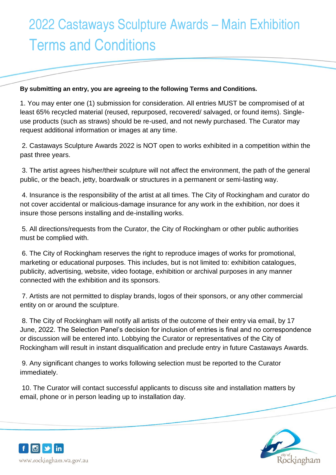## 2022 Castaways Sculpture Awards – Main Exhibition Terms and Conditions

## **By submitting an entry, you are agreeing to the following Terms and Conditions.**

1. You may enter one (1) submission for consideration. All entries MUST be compromised of at least 65% recycled material (reused, repurposed, recovered/ salvaged, or found items). Singleuse products (such as straws) should be re-used, and not newly purchased. The Curator may request additional information or images at any time.

2. Castaways Sculpture Awards 2022 is NOT open to works exhibited in a competition within the past three years.

3. The artist agrees his/her/their sculpture will not affect the environment, the path of the general public, or the beach, jetty, boardwalk or structures in a permanent or semi-lasting way.

4. Insurance is the responsibility of the artist at all times. The City of Rockingham and curator do not cover accidental or malicious-damage insurance for any work in the exhibition, nor does it insure those persons installing and de-installing works.

5. All directions/requests from the Curator, the City of Rockingham or other public authorities must be complied with.

6. The City of Rockingham reserves the right to reproduce images of works for promotional, marketing or educational purposes. This includes, but is not limited to: exhibition catalogues, publicity, advertising, website, video footage, exhibition or archival purposes in any manner connected with the exhibition and its sponsors.

7. Artists are not permitted to display brands, logos of their sponsors, or any other commercial entity on or around the sculpture.

8. The City of Rockingham will notify all artists of the outcome of their entry via email, by 17 June, 2022. The Selection Panel's decision for inclusion of entries is final and no correspondence or discussion will be entered into. Lobbying the Curator or representatives of the City of Rockingham will result in instant disqualification and preclude entry in future Castaways Awards.

9. Any significant changes to works following selection must be reported to the Curator immediately.

10. The Curator will contact successful applicants to discuss site and installation matters by email, phone or in person leading up to installation day.



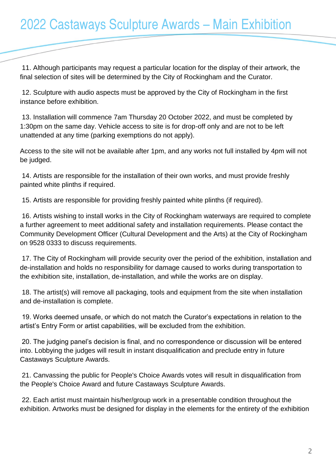11. Although participants may request a particular location for the display of their artwork, the final selection of sites will be determined by the City of Rockingham and the Curator.

12. Sculpture with audio aspects must be approved by the City of Rockingham in the first instance before exhibition.

13. Installation will commence 7am Thursday 20 October 2022, and must be completed by 1:30pm on the same day. Vehicle access to site is for drop-off only and are not to be left unattended at any time (parking exemptions do not apply).

Access to the site will not be available after 1pm, and any works not full installed by 4pm will not be judged.

14. Artists are responsible for the installation of their own works, and must provide freshly painted white plinths if required.

15. Artists are responsible for providing freshly painted white plinths (if required).

16. Artists wishing to install works in the City of Rockingham waterways are required to complete a further agreement to meet additional safety and installation requirements. Please contact the Community Development Officer (Cultural Development and the Arts) at the City of Rockingham on 9528 0333 to discuss requirements.

17. The City of Rockingham will provide security over the period of the exhibition, installation and de-installation and holds no responsibility for damage caused to works during transportation to the exhibition site, installation, de-installation, and while the works are on display.

18. The artist(s) will remove all packaging, tools and equipment from the site when installation and de-installation is complete.

19. Works deemed unsafe, or which do not match the Curator's expectations in relation to the artist's Entry Form or artist capabilities, will be excluded from the exhibition.

20. The judging panel's decision is final, and no correspondence or discussion will be entered into. Lobbying the judges will result in instant disqualification and preclude entry in future Castaways Sculpture Awards.

21. Canvassing the public for People's Choice Awards votes will result in disqualification from the People's Choice Award and future Castaways Sculpture Awards.

22. Each artist must maintain his/her/group work in a presentable condition throughout the exhibition. Artworks must be designed for display in the elements for the entirety of the exhibition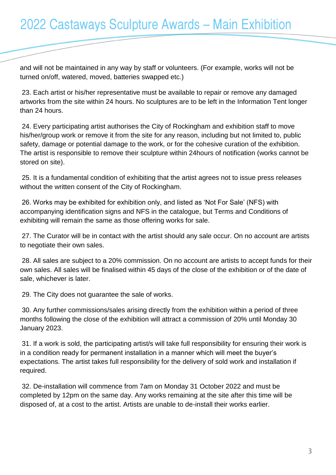and will not be maintained in any way by staff or volunteers. (For example, works will not be turned on/off, watered, moved, batteries swapped etc.)

23. Each artist or his/her representative must be available to repair or remove any damaged artworks from the site within 24 hours. No sculptures are to be left in the Information Tent longer than 24 hours.

24. Every participating artist authorises the City of Rockingham and exhibition staff to move his/her/group work or remove it from the site for any reason, including but not limited to, public safety, damage or potential damage to the work, or for the cohesive curation of the exhibition. The artist is responsible to remove their sculpture within 24hours of notification (works cannot be stored on site).

25. It is a fundamental condition of exhibiting that the artist agrees not to issue press releases without the written consent of the City of Rockingham.

26. Works may be exhibited for exhibition only, and listed as 'Not For Sale' (NFS) with accompanying identification signs and NFS in the catalogue, but Terms and Conditions of exhibiting will remain the same as those offering works for sale.

27. The Curator will be in contact with the artist should any sale occur. On no account are artists to negotiate their own sales.

28. All sales are subject to a 20% commission. On no account are artists to accept funds for their own sales. All sales will be finalised within 45 days of the close of the exhibition or of the date of sale, whichever is later.

29. The City does not guarantee the sale of works.

30. Any further commissions/sales arising directly from the exhibition within a period of three months following the close of the exhibition will attract a commission of 20% until Monday 30 January 2023.

31. If a work is sold, the participating artist/s will take full responsibility for ensuring their work is in a condition ready for permanent installation in a manner which will meet the buyer's expectations. The artist takes full responsibility for the delivery of sold work and installation if required.

32. De-installation will commence from 7am on Monday 31 October 2022 and must be completed by 12pm on the same day. Any works remaining at the site after this time will be disposed of, at a cost to the artist. Artists are unable to de-install their works earlier.